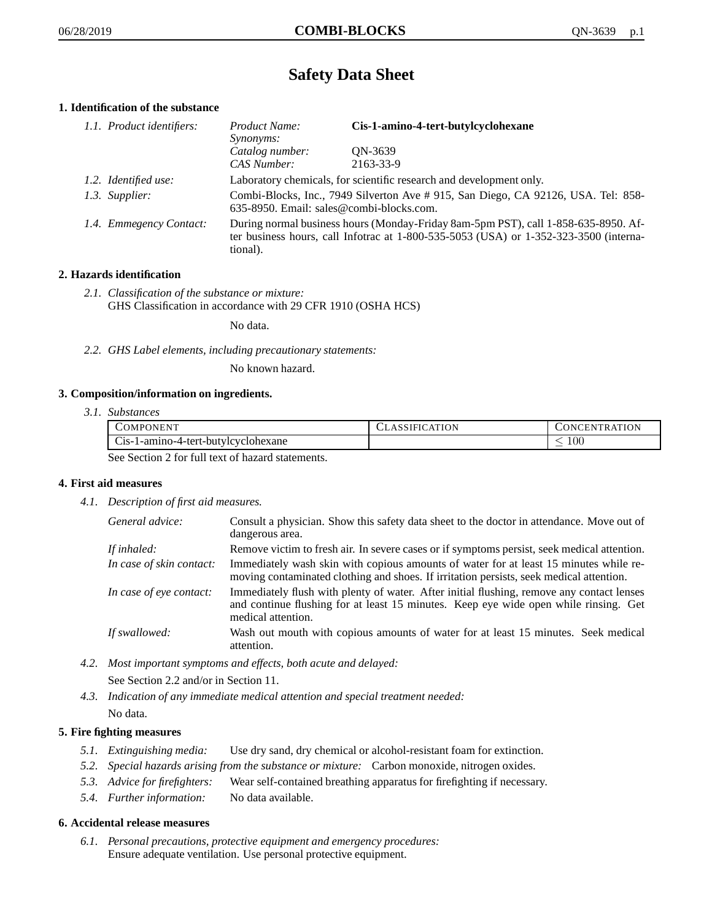# **Safety Data Sheet**

## **1. Identification of the substance**

| 1.1. Product identifiers: | <i>Product Name:</i><br><i>Synonyms:</i>                                                                                                                                                    | Cis-1-amino-4-tert-butylcyclohexane |
|---------------------------|---------------------------------------------------------------------------------------------------------------------------------------------------------------------------------------------|-------------------------------------|
|                           | Catalog number:                                                                                                                                                                             | QN-3639                             |
|                           | CAS Number:                                                                                                                                                                                 | 2163-33-9                           |
| 1.2. Identified use:      | Laboratory chemicals, for scientific research and development only.                                                                                                                         |                                     |
| 1.3. Supplier:            | Combi-Blocks, Inc., 7949 Silverton Ave # 915, San Diego, CA 92126, USA. Tel: 858-<br>635-8950. Email: sales@combi-blocks.com.                                                               |                                     |
| 1.4. Emmegency Contact:   | During normal business hours (Monday-Friday 8am-5pm PST), call 1-858-635-8950. Af-<br>ter business hours, call Infotrac at $1-800-535-5053$ (USA) or $1-352-323-3500$ (interna-<br>tional). |                                     |

## **2. Hazards identification**

*2.1. Classification of the substance or mixture:* GHS Classification in accordance with 29 CFR 1910 (OSHA HCS)

No data.

*2.2. GHS Label elements, including precautionary statements:*

No known hazard.

## **3. Composition/information on ingredients.**

*3.1. Substances*

| <b>COMPONENT</b>                                 | LASSIFICATION | CONCENTRATION. |
|--------------------------------------------------|---------------|----------------|
| Cis-1-amino-4-tert-butylcyclohexane              |               | LOO            |
| See Section 2 for full tout of here at estaments |               |                |

See Section 2 for full text of hazard statements.

## **4. First aid measures**

*4.1. Description of first aid measures.*

| General advice:          | Consult a physician. Show this safety data sheet to the doctor in attendance. Move out of<br>dangerous area.                                                                                            |
|--------------------------|---------------------------------------------------------------------------------------------------------------------------------------------------------------------------------------------------------|
| If inhaled:              | Remove victim to fresh air. In severe cases or if symptoms persist, seek medical attention.                                                                                                             |
| In case of skin contact: | Immediately wash skin with copious amounts of water for at least 15 minutes while re-<br>moving contaminated clothing and shoes. If irritation persists, seek medical attention.                        |
| In case of eye contact:  | Immediately flush with plenty of water. After initial flushing, remove any contact lenses<br>and continue flushing for at least 15 minutes. Keep eye wide open while rinsing. Get<br>medical attention. |
| If swallowed:            | Wash out mouth with copious amounts of water for at least 15 minutes. Seek medical<br>attention.                                                                                                        |

*4.2. Most important symptoms and effects, both acute and delayed:*

See Section 2.2 and/or in Section 11.

*4.3. Indication of any immediate medical attention and special treatment needed:* No data.

## **5. Fire fighting measures**

- *5.1. Extinguishing media:* Use dry sand, dry chemical or alcohol-resistant foam for extinction.
- *5.2. Special hazards arising from the substance or mixture:* Carbon monoxide, nitrogen oxides.
- *5.3. Advice for firefighters:* Wear self-contained breathing apparatus for firefighting if necessary.
- *5.4. Further information:* No data available.

## **6. Accidental release measures**

*6.1. Personal precautions, protective equipment and emergency procedures:* Ensure adequate ventilation. Use personal protective equipment.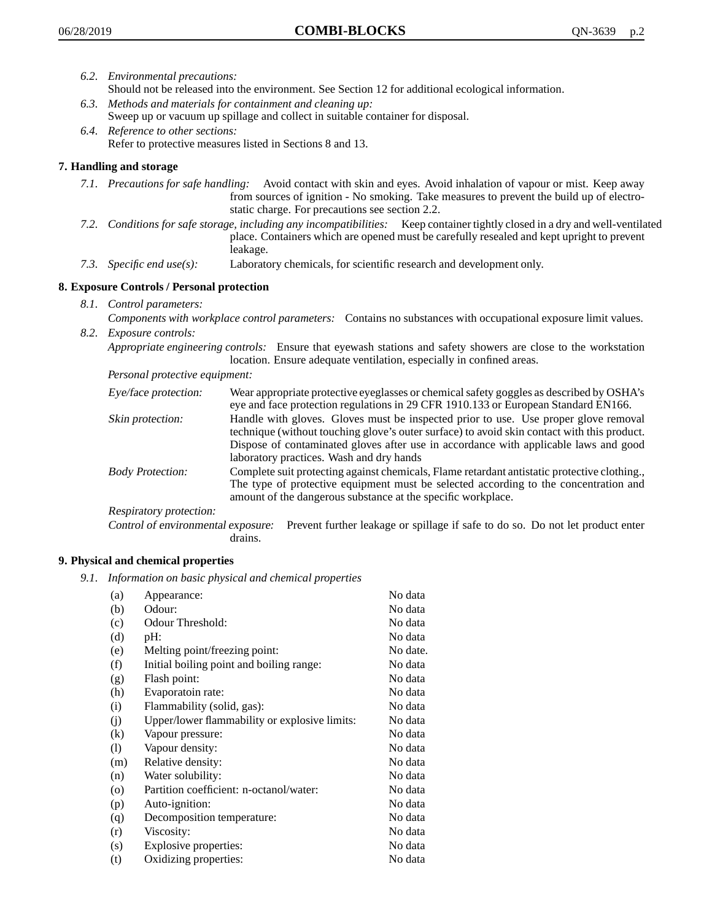- *6.2. Environmental precautions:* Should not be released into the environment. See Section 12 for additional ecological information.
- *6.3. Methods and materials for containment and cleaning up:* Sweep up or vacuum up spillage and collect in suitable container for disposal.
- *6.4. Reference to other sections:* Refer to protective measures listed in Sections 8 and 13.

## **7. Handling and storage**

- *7.1. Precautions for safe handling:* Avoid contact with skin and eyes. Avoid inhalation of vapour or mist. Keep away from sources of ignition - No smoking. Take measures to prevent the build up of electrostatic charge. For precautions see section 2.2.
- *7.2. Conditions for safe storage, including any incompatibilities:* Keep container tightly closed in a dry and well-ventilated place. Containers which are opened must be carefully resealed and kept upright to prevent leakage.
- *7.3. Specific end use(s):* Laboratory chemicals, for scientific research and development only.

## **8. Exposure Controls / Personal protection**

- *8.1. Control parameters:*
- *Components with workplace control parameters:* Contains no substances with occupational exposure limit values. *8.2. Exposure controls:*

*Appropriate engineering controls:* Ensure that eyewash stations and safety showers are close to the workstation location. Ensure adequate ventilation, especially in confined areas.

*Personal protective equipment:*

| Eye/face protection:    | Wear appropriate protective eyeglasses or chemical safety goggles as described by OSHA's<br>eye and face protection regulations in 29 CFR 1910.133 or European Standard EN166.                                                                                                                                         |
|-------------------------|------------------------------------------------------------------------------------------------------------------------------------------------------------------------------------------------------------------------------------------------------------------------------------------------------------------------|
| Skin protection:        | Handle with gloves. Gloves must be inspected prior to use. Use proper glove removal<br>technique (without touching glove's outer surface) to avoid skin contact with this product.<br>Dispose of contaminated gloves after use in accordance with applicable laws and good<br>laboratory practices. Wash and dry hands |
| <b>Body Protection:</b> | Complete suit protecting against chemicals, Flame retardant antistatic protective clothing.,<br>The type of protective equipment must be selected according to the concentration and<br>amount of the dangerous substance at the specific workplace.                                                                   |
| Respiratory protection: |                                                                                                                                                                                                                                                                                                                        |

Control of environmental exposure: Prevent further leakage or spillage if safe to do so. Do not let product enter drains.

## **9. Physical and chemical properties**

*9.1. Information on basic physical and chemical properties*

| (a)      | Appearance:                                   | No data  |
|----------|-----------------------------------------------|----------|
| (b)      | Odour:                                        | No data  |
| (c)      | Odour Threshold:                              | No data  |
| (d)      | pH:                                           | No data  |
| (e)      | Melting point/freezing point:                 | No date. |
| (f)      | Initial boiling point and boiling range:      | No data  |
| (g)      | Flash point:                                  | No data  |
| (h)      | Evaporatoin rate:                             | No data  |
| (i)      | Flammability (solid, gas):                    | No data  |
| (i)      | Upper/lower flammability or explosive limits: | No data  |
| $\rm(k)$ | Vapour pressure:                              | No data  |
| (1)      | Vapour density:                               | No data  |
| (m)      | Relative density:                             | No data  |
| (n)      | Water solubility:                             | No data  |
| $\circ$  | Partition coefficient: n-octanol/water:       | No data  |
| (p)      | Auto-ignition:                                | No data  |
| (q)      | Decomposition temperature:                    | No data  |
| (r)      | Viscosity:                                    | No data  |
| (s)      | Explosive properties:                         | No data  |
| (t)      | Oxidizing properties:                         | No data  |